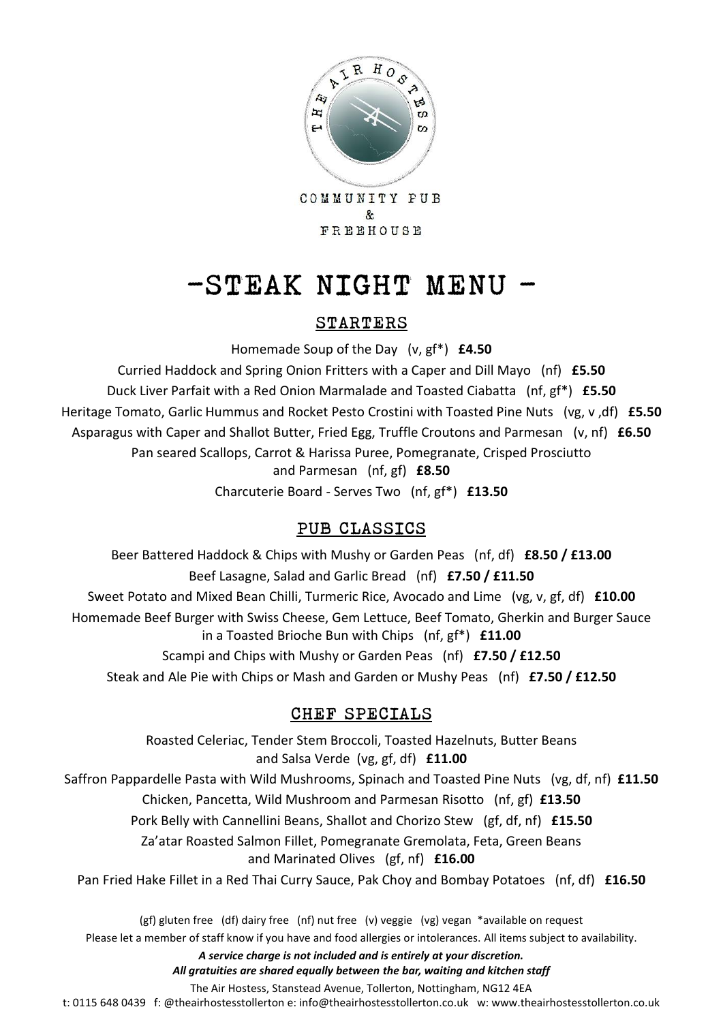

FREEHOUSE

## $-STERK$  NIGHT MENU -

#### STARTERS

Homemade Soup of the Day (v, gf\*) **£4.50**

Curried Haddock and Spring Onion Fritters with a Caper and Dill Mayo (nf) **£5.50** Duck Liver Parfait with a Red Onion Marmalade and Toasted Ciabatta (nf, gf\*) **£5.50** Heritage Tomato, Garlic Hummus and Rocket Pesto Crostini with Toasted Pine Nuts (vg, v ,df) **£5.50** Asparagus with Caper and Shallot Butter, Fried Egg, Truffle Croutons and Parmesan (v, nf) **£6.50** Pan seared Scallops, Carrot & Harissa Puree, Pomegranate, Crisped Prosciutto and Parmesan (nf, gf) **£8.50** Charcuterie Board - Serves Two (nf, gf\*) **£13.50**

## PUB CLASSICS

Beer Battered Haddock & Chips with Mushy or Garden Peas (nf, df) **£8.50 / £13.00** Beef Lasagne, Salad and Garlic Bread (nf) **£7.50 / £11.50** Sweet Potato and Mixed Bean Chilli, Turmeric Rice, Avocado and Lime (vg, v, gf, df) **£10.00** Homemade Beef Burger with Swiss Cheese, Gem Lettuce, Beef Tomato, Gherkin and Burger Sauce in a Toasted Brioche Bun with Chips (nf, gf\*) **£11.00** Scampi and Chips with Mushy or Garden Peas (nf) **£7.50 / £12.50** Steak and Ale Pie with Chips or Mash and Garden or Mushy Peas (nf) **£7.50 / £12.50**

## CHEF SPECIALS

Roasted Celeriac, Tender Stem Broccoli, Toasted Hazelnuts, Butter Beans and Salsa Verde (vg, gf, df) **£11.00** Saffron Pappardelle Pasta with Wild Mushrooms, Spinach and Toasted Pine Nuts (vg, df, nf) **£11.50** Chicken, Pancetta, Wild Mushroom and Parmesan Risotto (nf, gf) **£13.50** Pork Belly with Cannellini Beans, Shallot and Chorizo Stew (gf, df, nf) **£15.50** Za'atar Roasted Salmon Fillet, Pomegranate Gremolata, Feta, Green Beans and Marinated Olives (gf, nf) **£16.00**

Pan Fried Hake Fillet in a Red Thai Curry Sauce, Pak Choy and Bombay Potatoes (nf, df) **£16.50**

(gf) gluten free (df) dairy free (nf) nut free (v) veggie (vg) vegan \*available on request Please let a member of staff know if you have and food allergies or intolerances. All items subject to availability.

*A service charge is not included and is entirely at your discretion.* 

*All gratuities are shared equally between the bar, waiting and kitchen staff*

The Air Hostess, Stanstead Avenue, Tollerton, Nottingham, NG12 4EA

t: 0115 648 0439 f: @theairhostesstollerton e: info@theairhostesstollerton.co.uk w: www.theairhostesstollerton.co.uk